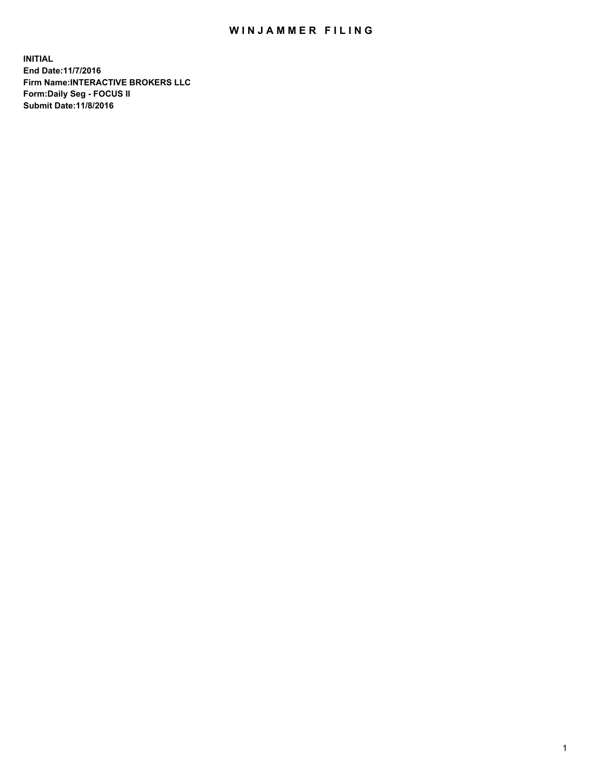## WIN JAMMER FILING

**INITIAL End Date:11/7/2016 Firm Name:INTERACTIVE BROKERS LLC Form:Daily Seg - FOCUS II Submit Date:11/8/2016**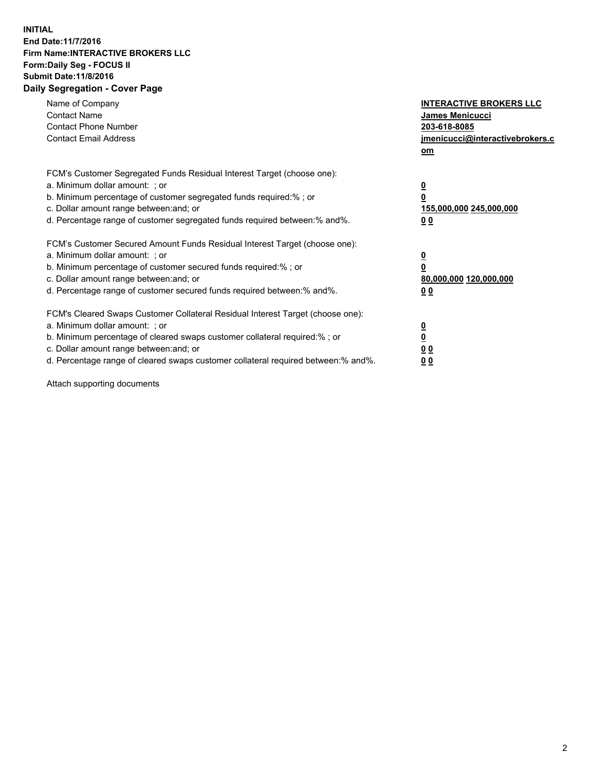## **INITIAL End Date:11/7/2016 Firm Name:INTERACTIVE BROKERS LLC Form:Daily Seg - FOCUS II Submit Date:11/8/2016 Daily Segregation - Cover Page**

| Name of Company<br><b>Contact Name</b><br><b>Contact Phone Number</b><br><b>Contact Email Address</b>                                                                                                                                                                                                                          | <b>INTERACTIVE BROKERS LLC</b><br><b>James Menicucci</b><br>203-618-8085<br>jmenicucci@interactivebrokers.c<br>om |
|--------------------------------------------------------------------------------------------------------------------------------------------------------------------------------------------------------------------------------------------------------------------------------------------------------------------------------|-------------------------------------------------------------------------------------------------------------------|
| FCM's Customer Segregated Funds Residual Interest Target (choose one):<br>a. Minimum dollar amount: ; or<br>b. Minimum percentage of customer segregated funds required:%; or<br>c. Dollar amount range between: and; or<br>d. Percentage range of customer segregated funds required between:% and%.                          | $\overline{\mathbf{0}}$<br>0<br>155,000,000 245,000,000<br>0 <sub>0</sub>                                         |
| FCM's Customer Secured Amount Funds Residual Interest Target (choose one):<br>a. Minimum dollar amount: ; or<br>b. Minimum percentage of customer secured funds required:%; or<br>c. Dollar amount range between: and; or<br>d. Percentage range of customer secured funds required between: % and %.                          | $\overline{\mathbf{0}}$<br>0<br>80,000,000 120,000,000<br>00                                                      |
| FCM's Cleared Swaps Customer Collateral Residual Interest Target (choose one):<br>a. Minimum dollar amount: ; or<br>b. Minimum percentage of cleared swaps customer collateral required:% ; or<br>c. Dollar amount range between: and; or<br>d. Percentage range of cleared swaps customer collateral required between:% and%. | $\overline{\mathbf{0}}$<br>$\overline{\mathbf{0}}$<br>0 <sub>0</sub><br><u>00</u>                                 |

Attach supporting documents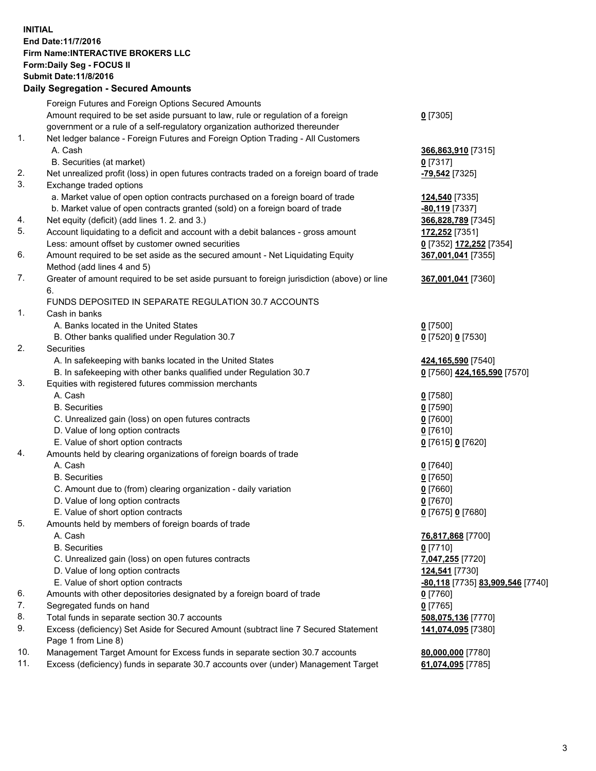## **INITIAL End Date:11/7/2016 Firm Name:INTERACTIVE BROKERS LLC Form:Daily Seg - FOCUS II Submit Date:11/8/2016 Daily Segregation - Secured Amounts**

|     | <u>, any overvealion ovoaroa / 11110ani</u>                                                 |                                  |
|-----|---------------------------------------------------------------------------------------------|----------------------------------|
|     | Foreign Futures and Foreign Options Secured Amounts                                         |                                  |
|     | Amount required to be set aside pursuant to law, rule or regulation of a foreign            | $0$ [7305]                       |
|     | government or a rule of a self-regulatory organization authorized thereunder                |                                  |
| 1.  | Net ledger balance - Foreign Futures and Foreign Option Trading - All Customers             |                                  |
|     | A. Cash                                                                                     | 366,863,910 [7315]               |
|     | B. Securities (at market)                                                                   | $0$ [7317]                       |
| 2.  | Net unrealized profit (loss) in open futures contracts traded on a foreign board of trade   | -79,542 <sup>[7325]</sup>        |
| 3.  | Exchange traded options                                                                     |                                  |
|     | a. Market value of open option contracts purchased on a foreign board of trade              | 124,540 [7335]                   |
|     | b. Market value of open contracts granted (sold) on a foreign board of trade                | -80,119 [7337]                   |
| 4.  | Net equity (deficit) (add lines 1. 2. and 3.)                                               | 366,828,789 [7345]               |
| 5.  | Account liquidating to a deficit and account with a debit balances - gross amount           | 172,252 [7351]                   |
|     | Less: amount offset by customer owned securities                                            | 0 [7352] 172,252 [7354]          |
| 6.  | Amount required to be set aside as the secured amount - Net Liquidating Equity              | 367,001,041 [7355]               |
|     | Method (add lines 4 and 5)                                                                  |                                  |
| 7.  | Greater of amount required to be set aside pursuant to foreign jurisdiction (above) or line |                                  |
|     | 6.                                                                                          | 367,001,041 [7360]               |
|     | FUNDS DEPOSITED IN SEPARATE REGULATION 30.7 ACCOUNTS                                        |                                  |
| 1.  | Cash in banks                                                                               |                                  |
|     | A. Banks located in the United States                                                       |                                  |
|     | B. Other banks qualified under Regulation 30.7                                              | $0$ [7500]                       |
| 2.  | Securities                                                                                  | 0 [7520] 0 [7530]                |
|     | A. In safekeeping with banks located in the United States                                   |                                  |
|     |                                                                                             | 424, 165, 590 [7540]             |
|     | B. In safekeeping with other banks qualified under Regulation 30.7                          | 0 [7560] 424,165,590 [7570]      |
| 3.  | Equities with registered futures commission merchants                                       |                                  |
|     | A. Cash                                                                                     | $0$ [7580]                       |
|     | <b>B.</b> Securities                                                                        | $0$ [7590]                       |
|     | C. Unrealized gain (loss) on open futures contracts                                         | $0$ [7600]                       |
|     | D. Value of long option contracts                                                           | $0$ [7610]                       |
|     | E. Value of short option contracts                                                          | 0 [7615] 0 [7620]                |
| 4.  | Amounts held by clearing organizations of foreign boards of trade                           |                                  |
|     | A. Cash                                                                                     | $0$ [7640]                       |
|     | <b>B.</b> Securities                                                                        | $0$ [7650]                       |
|     | C. Amount due to (from) clearing organization - daily variation                             | $0$ [7660]                       |
|     | D. Value of long option contracts                                                           | $0$ [7670]                       |
|     | E. Value of short option contracts                                                          | 0 [7675] 0 [7680]                |
| 5.  | Amounts held by members of foreign boards of trade                                          |                                  |
|     | A. Cash                                                                                     | 76,817,868 [7700]                |
|     | <b>B.</b> Securities                                                                        | $0$ [7710]                       |
|     | C. Unrealized gain (loss) on open futures contracts                                         | 7,047,255 [7720]                 |
|     | D. Value of long option contracts                                                           | 124,541 [7730]                   |
|     | E. Value of short option contracts                                                          | -80,118 [7735] 83,909,546 [7740] |
| 6.  | Amounts with other depositories designated by a foreign board of trade                      | $0$ [7760]                       |
| 7.  | Segregated funds on hand                                                                    | $0$ [7765]                       |
| 8.  | Total funds in separate section 30.7 accounts                                               | 508,075,136 [7770]               |
| 9.  | Excess (deficiency) Set Aside for Secured Amount (subtract line 7 Secured Statement         | 141,074,095 [7380]               |
|     | Page 1 from Line 8)                                                                         |                                  |
| 10. | Management Target Amount for Excess funds in separate section 30.7 accounts                 | 80,000,000 [7780]                |
| 11. | Excess (deficiency) funds in separate 30.7 accounts over (under) Management Target          | 61,074,095 [7785]                |
|     |                                                                                             |                                  |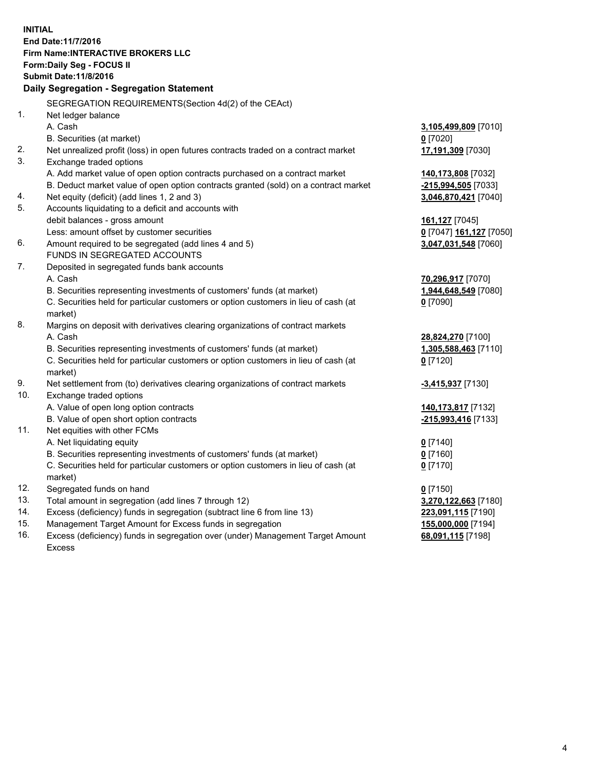**INITIAL End Date:11/7/2016 Firm Name:INTERACTIVE BROKERS LLC Form:Daily Seg - FOCUS II Submit Date:11/8/2016 Daily Segregation - Segregation Statement** SEGREGATION REQUIREMENTS(Section 4d(2) of the CEAct) 1. Net ledger balance A. Cash **3,105,499,809** [7010] B. Securities (at market) **0** [7020] 2. Net unrealized profit (loss) in open futures contracts traded on a contract market **17,191,309** [7030] 3. Exchange traded options A. Add market value of open option contracts purchased on a contract market **140,173,808** [7032] B. Deduct market value of open option contracts granted (sold) on a contract market **-215,994,505** [7033] 4. Net equity (deficit) (add lines 1, 2 and 3) **3,046,870,421** [7040] 5. Accounts liquidating to a deficit and accounts with debit balances - gross amount **161,127** [7045] Less: amount offset by customer securities **0** [7047] **161,127** [7050] 6. Amount required to be segregated (add lines 4 and 5) **3,047,031,548** [7060] FUNDS IN SEGREGATED ACCOUNTS 7. Deposited in segregated funds bank accounts A. Cash **70,296,917** [7070] B. Securities representing investments of customers' funds (at market) **1,944,648,549** [7080] C. Securities held for particular customers or option customers in lieu of cash (at market) **0** [7090] 8. Margins on deposit with derivatives clearing organizations of contract markets A. Cash **28,824,270** [7100] B. Securities representing investments of customers' funds (at market) **1,305,588,463** [7110] C. Securities held for particular customers or option customers in lieu of cash (at market) **0** [7120] 9. Net settlement from (to) derivatives clearing organizations of contract markets **-3,415,937** [7130] 10. Exchange traded options A. Value of open long option contracts **140,173,817** [7132] B. Value of open short option contracts **-215,993,416** [7133] 11. Net equities with other FCMs A. Net liquidating equity **0** [7140] B. Securities representing investments of customers' funds (at market) **0** [7160] C. Securities held for particular customers or option customers in lieu of cash (at market) **0** [7170] 12. Segregated funds on hand **0** [7150] 13. Total amount in segregation (add lines 7 through 12) **3,270,122,663** [7180] 14. Excess (deficiency) funds in segregation (subtract line 6 from line 13) **223,091,115** [7190] 15. Management Target Amount for Excess funds in segregation **155,000,000** [7194] **68,091,115** [7198]

16. Excess (deficiency) funds in segregation over (under) Management Target Amount Excess